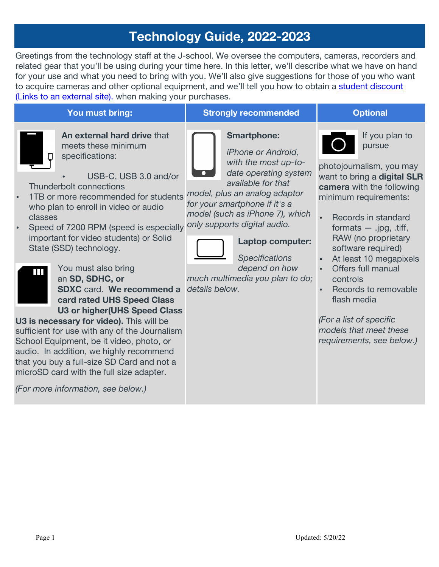# **Technology Guide, 2022-2023**

Greetings from the technology staff at the J-school. We oversee the computers, cameras, recorders and related gear that you'll be using during your time here. In this letter, we'll describe what we have on hand for your use and what you need to bring with you. We'll also give suggestions for those of you who want to acquire cameras and other optional equipment, and we'll tell you how to obtain a student discount (Links to an external site). when making your purchases.

| An external hard drive that<br><b>Smartphone:</b><br>If you plan to<br>meets these minimum<br>pursue<br><i>iPhone or Android,</i><br>specifications:<br>n<br>with the most up-to-<br>photojournalism, you may<br>date operating system<br>USB-C, USB 3.0 and/or<br>want to bring a digital SLR<br>available for that<br>Thunderbolt connections<br>camera with the following<br>model, plus an analog adaptor<br>1TB or more recommended for students<br>minimum requirements:<br>for your smartphone if it's a<br>who plan to enroll in video or audio<br>model (such as iPhone 7), which<br>classes<br>Records in standard<br>only supports digital audio.<br>Speed of 7200 RPM (speed is especially<br>formats $-$ .jpg, .tiff,<br>important for video students) or Solid<br>RAW (no proprietary<br>Laptop computer:<br>State (SSD) technology.<br>software required)<br><b>Specifications</b><br>At least 10 megapixels<br>depend on how<br>You must also bring<br>Offers full manual<br>Ш<br>much multimedia you plan to do;<br>an SD, SDHC, or<br>controls<br>details below.<br><b>SDXC</b> card. We recommend a<br>Records to removable<br>$\bullet$<br>flash media<br>card rated UHS Speed Class<br>U3 or higher (UHS Speed Class<br>(For a list of specific<br>models that meet these<br>requirements, see below.) | You must bring:                                                                                                                                                                                                                                                                                                  | <b>Strongly recommended</b> | <b>Optional</b> |
|-----------------------------------------------------------------------------------------------------------------------------------------------------------------------------------------------------------------------------------------------------------------------------------------------------------------------------------------------------------------------------------------------------------------------------------------------------------------------------------------------------------------------------------------------------------------------------------------------------------------------------------------------------------------------------------------------------------------------------------------------------------------------------------------------------------------------------------------------------------------------------------------------------------------------------------------------------------------------------------------------------------------------------------------------------------------------------------------------------------------------------------------------------------------------------------------------------------------------------------------------------------------------------------------------------------------------------|------------------------------------------------------------------------------------------------------------------------------------------------------------------------------------------------------------------------------------------------------------------------------------------------------------------|-----------------------------|-----------------|
|                                                                                                                                                                                                                                                                                                                                                                                                                                                                                                                                                                                                                                                                                                                                                                                                                                                                                                                                                                                                                                                                                                                                                                                                                                                                                                                             | U3 is necessary for video). This will be<br>sufficient for use with any of the Journalism<br>School Equipment, be it video, photo, or<br>audio. In addition, we highly recommend<br>that you buy a full-size SD Card and not a<br>microSD card with the full size adapter.<br>(For more information, see below.) |                             |                 |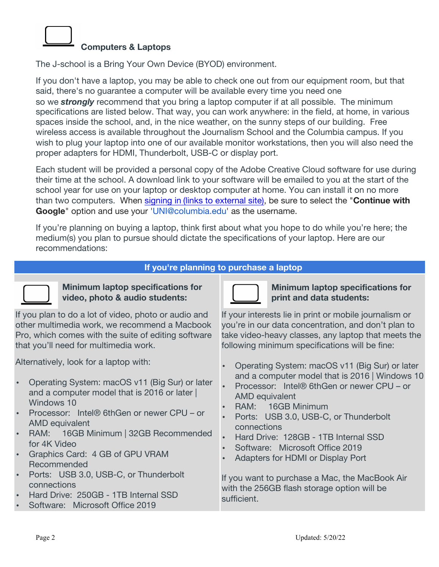# **Computers & Laptops**

The J-school is a Bring Your Own Device (BYOD) environment.

If you don't have a laptop, you may be able to check one out from our equipment room, but that said, there's no guarantee a computer will be available every time you need one so we *strongly* recommend that you bring a laptop computer if at all possible. The minimum specifications are listed below. That way, you can work anywhere: in the field, at home, in various spaces inside the school, and, in the nice weather, on the sunny steps of our building. Free wireless access is available throughout the Journalism School and the Columbia campus. If you wish to plug your laptop into one of our available monitor workstations, then you will also need the proper adapters for HDMI, Thunderbolt, USB-C or display port.

Each student will be provided a personal copy of the Adobe Creative Cloud software for use during their time at the school. A download link to your software will be emailed to you at the start of the school year for use on your laptop or desktop computer at home. You can install it on no more than two computers. When signing in (links to external site), be sure to select the "**Continue with Google**" option and use your 'UNI@columbia.edu' as the username.

If you're planning on buying a laptop, think first about what you hope to do while you're here; the medium(s) you plan to pursue should dictate the specifications of your laptop. Here are our recommendations:

# **If you're planning to purchase a laptop**



**Minimum laptop specifications for video, photo & audio students:**

If you plan to do a lot of video, photo or audio and other multimedia work, we recommend a Macbook Pro, which comes with the suite of editing software that you'll need for multimedia work.

Alternatively, look for a laptop with:

- Operating System: macOS v11 (Big Sur) or later and a computer model that is 2016 or later | Windows 10
- Processor: Intel® 6thGen or newer CPU or AMD equivalent
- RAM: 16GB Minimum | 32GB Recommended for 4K Video
- Graphics Card: 4 GB of GPU VRAM Recommended
- Ports: USB 3.0, USB-C, or Thunderbolt connections
- Hard Drive: 250GB 1TB Internal SSD
- Software: Microsoft Office 2019



**Minimum laptop specifications for print and data students:**

If your interests lie in print or mobile journalism or you're in our data concentration, and don't plan to take video-heavy classes, any laptop that meets the following minimum specifications will be fine:

- Operating System: macOS v11 (Big Sur) or later and a computer model that is 2016 | Windows 10
- Processor: Intel® 6thGen or newer CPU or AMD equivalent
- RAM: 16GB Minimum
- Ports: USB 3.0, USB-C, or Thunderbolt connections
- Hard Drive: 128GB 1TB Internal SSD
- Software: Microsoft Office 2019
- Adapters for HDMI or Display Port

If you want to purchase a Mac, the MacBook Air with the 256GB flash storage option will be sufficient.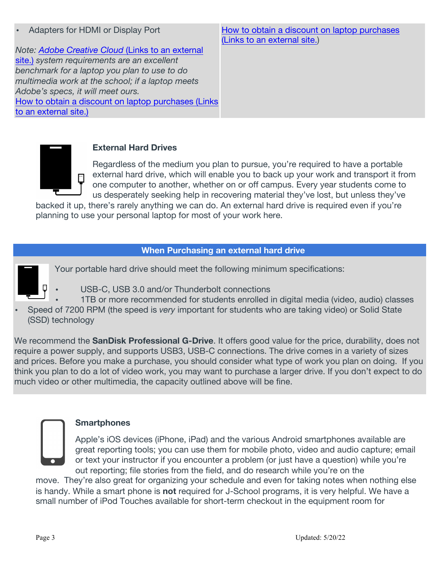*Note: Adobe Creative Cloud* (Links to an external site.) *system requirements are an excellent benchmark for a laptop you plan to use to do multimedia work at the school; if a laptop meets Adobe's specs, it will meet ours.* How to obtain a discount on laptop purchases (Links to an external site.)

How to obtain a discount on laptop purchases (Links to an external site.)



# **External Hard Drives**

Regardless of the medium you plan to pursue, you're required to have a portable external hard drive, which will enable you to back up your work and transport it from one computer to another, whether on or off campus. Every year students come to us desperately seeking help in recovering material they've lost, but unless they've

backed it up, there's rarely anything we can do. An external hard drive is required even if you're planning to use your personal laptop for most of your work here.

# **When Purchasing an external hard drive**

Your portable hard drive should meet the following minimum specifications:



- USB-C, USB 3.0 and/or Thunderbolt connections
- 1TB or more recommended for students enrolled in digital media (video, audio) classes
- Speed of 7200 RPM (the speed is *very* important for students who are taking video) or Solid State (SSD) technology

We recommend the **SanDisk Professional G-Drive**. It offers good value for the price, durability, does not require a power supply, and supports USB3, USB-C connections. The drive comes in a variety of sizes and prices. Before you make a purchase, you should consider what type of work you plan on doing. If you think you plan to do a lot of video work, you may want to purchase a larger drive. If you don't expect to do much video or other multimedia, the capacity outlined above will be fine.



# **Smartphones**

Apple's iOS devices (iPhone, iPad) and the various Android smartphones available are great reporting tools; you can use them for mobile photo, video and audio capture; email or text your instructor if you encounter a problem (or just have a question) while you're out reporting; file stories from the field, and do research while you're on the

move. They're also great for organizing your schedule and even for taking notes when nothing else is handy. While a smart phone is **not** required for J-School programs, it is very helpful. We have a small number of iPod Touches available for short-term checkout in the equipment room for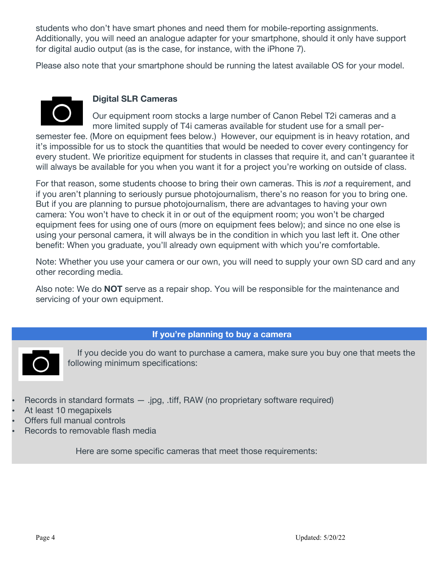students who don't have smart phones and need them for mobile-reporting assignments. Additionally, you will need an analogue adapter for your smartphone, should it only have support for digital audio output (as is the case, for instance, with the iPhone 7).

Please also note that your smartphone should be running the latest available OS for your model.



#### **Digital SLR Cameras**

Our equipment room stocks a large number of Canon Rebel T2i cameras and a more limited supply of T4i cameras available for student use for a small persemester fee. (More on equipment fees below.) However, our equipment is in heavy rotation, and

it's impossible for us to stock the quantities that would be needed to cover every contingency for every student. We prioritize equipment for students in classes that require it, and can't guarantee it will always be available for you when you want it for a project you're working on outside of class.

For that reason, some students choose to bring their own cameras. This is *not* a requirement, and if you aren't planning to seriously pursue photojournalism, there's no reason for you to bring one. But if you are planning to pursue photojournalism, there are advantages to having your own camera: You won't have to check it in or out of the equipment room; you won't be charged equipment fees for using one of ours (more on equipment fees below); and since no one else is using your personal camera, it will always be in the condition in which you last left it. One other benefit: When you graduate, you'll already own equipment with which you're comfortable.

Note: Whether you use your camera or our own, you will need to supply your own SD card and any other recording media.

Also note: We do **NOT** serve as a repair shop. You will be responsible for the maintenance and servicing of your own equipment.

#### **If you're planning to buy a camera**



If you decide you do want to purchase a camera, make sure you buy one that meets the following minimum specifications:

- Records in standard formats  $-$  .jpg, .tiff, RAW (no proprietary software required)
- At least 10 megapixels
- Offers full manual controls
- Records to removable flash media

Here are some specific cameras that meet those requirements: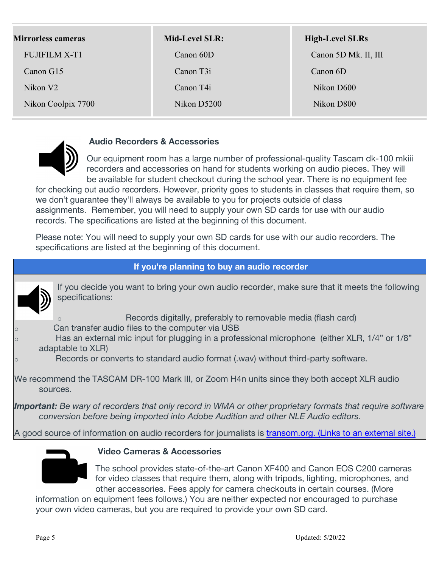| <b>Mirrorless cameras</b> | <b>Mid-Level SLR:</b> | <b>High-Level SLRs</b> |
|---------------------------|-----------------------|------------------------|
| <b>FUJIFILM X-T1</b>      | Canon 60D             | Canon 5D Mk. II, III   |
| Canon G15                 | Canon T <sub>31</sub> | Canon 6D               |
| Nikon V <sub>2</sub>      | Canon T4i             | Nikon D600             |
| Nikon Coolpix 7700        | Nikon D5200           | Nikon D800             |



#### **Audio Recorders & Accessories**

Our equipment room has a large number of professional-quality Tascam dk-100 mkiii recorders and accessories on hand for students working on audio pieces. They will be available for student checkout during the school year. There is no equipment fee

for checking out audio recorders. However, priority goes to students in classes that require them, so we don't guarantee they'll always be available to you for projects outside of class assignments. Remember, you will need to supply your own SD cards for use with our audio records. The specifications are listed at the beginning of this document.

Please note: You will need to supply your own SD cards for use with our audio recorders. The specifications are listed at the beginning of this document.

# **If you're planning to buy an audio recorder**

If you decide you want to bring your own audio recorder, make sure that it meets the following specifications:

- Records digitally, preferably to removable media (flash card)
- Can transfer audio files to the computer via USB
- Has an external mic input for plugging in a professional microphone (either XLR, 1/4" or 1/8" adaptable to XLR)
	- Records or converts to standard audio format (.wav) without third-party software.

We recommend the TASCAM DR-100 Mark III, or Zoom H4n units since they both accept XLR audio sources.

*Important: Be wary of recorders that only record in WMA or other proprietary formats that require software conversion before being imported into Adobe Audition and other NLE Audio editors.*

A good source of information on audio recorders for journalists is transom.org. (Links to an external site.)



#### **Video Cameras & Accessories**

The school provides state-of-the-art Canon XF400 and Canon EOS C200 cameras for video classes that require them, along with tripods, lighting, microphones, and other accessories. Fees apply for camera checkouts in certain courses. (More

information on equipment fees follows.) You are neither expected nor encouraged to purchase your own video cameras, but you are required to provide your own SD card.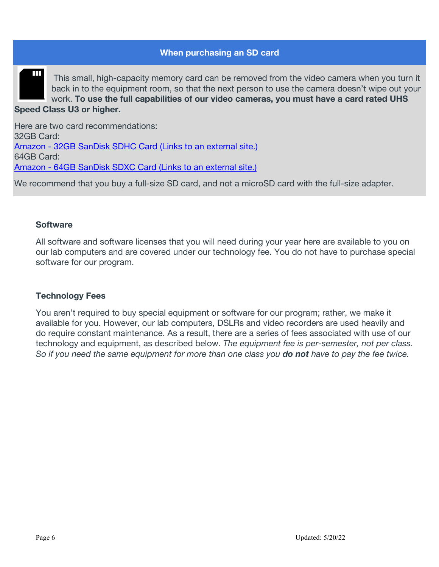#### **When purchasing an SD card**



This small, high-capacity memory card can be removed from the video camera when you turn it back in to the equipment room, so that the next person to use the camera doesn't wipe out your work. **To use the full capabilities of our video cameras, you must have a card rated UHS Speed Class U3 or higher.**

Here are two card recommendations: 32GB Card: Amazon - 32GB SanDisk SDHC Card (Links to an external site.) 64GB Card: Amazon - 64GB SanDisk SDXC Card (Links to an external site.)

We recommend that you buy a full-size SD card, and not a microSD card with the full-size adapter.

#### **Software**

All software and software licenses that you will need during your year here are available to you on our lab computers and are covered under our technology fee. You do not have to purchase special software for our program.

#### **Technology Fees**

You aren't required to buy special equipment or software for our program; rather, we make it available for you. However, our lab computers, DSLRs and video recorders are used heavily and do require constant maintenance. As a result, there are a series of fees associated with use of our technology and equipment, as described below. *The equipment fee is per-semester, not per class. So if you need the same equipment for more than one class you do not have to pay the fee twice.*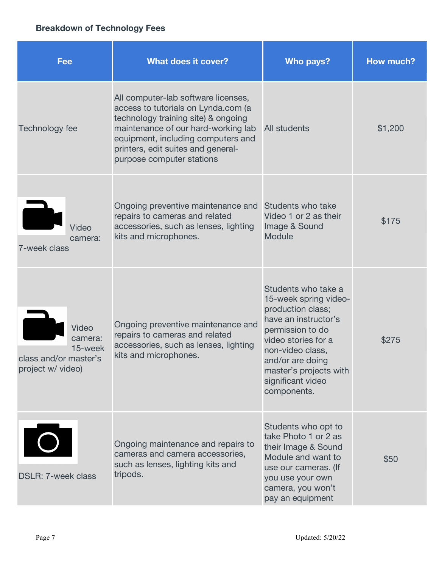# **Breakdown of Technology Fees**

| <b>Fee</b>                                                                       | <b>What does it cover?</b>                                                                                                                                                                                                                                        | Who pays?                                                                                                                                                                                                                                  | How much? |
|----------------------------------------------------------------------------------|-------------------------------------------------------------------------------------------------------------------------------------------------------------------------------------------------------------------------------------------------------------------|--------------------------------------------------------------------------------------------------------------------------------------------------------------------------------------------------------------------------------------------|-----------|
| Technology fee                                                                   | All computer-lab software licenses,<br>access to tutorials on Lynda.com (a<br>technology training site) & ongoing<br>maintenance of our hard-working lab<br>equipment, including computers and<br>printers, edit suites and general-<br>purpose computer stations | All students                                                                                                                                                                                                                               | \$1,200   |
| Video<br>camera:<br>7-week class                                                 | Ongoing preventive maintenance and<br>repairs to cameras and related<br>accessories, such as lenses, lighting<br>kits and microphones.                                                                                                                            | Students who take<br>Video 1 or 2 as their<br>Image & Sound<br><b>Module</b>                                                                                                                                                               | \$175     |
| <b>Video</b><br>camera:<br>15-week<br>class and/or master's<br>project w/ video) | Ongoing preventive maintenance and<br>repairs to cameras and related<br>accessories, such as lenses, lighting<br>kits and microphones.                                                                                                                            | Students who take a<br>15-week spring video-<br>production class;<br>have an instructor's<br>permission to do<br>video stories for a<br>non-video class,<br>and/or are doing<br>master's projects with<br>significant video<br>components. | \$275     |
| $\bigcirc$<br><b>DSLR: 7-week class</b>                                          | Ongoing maintenance and repairs to<br>cameras and camera accessories,<br>such as lenses, lighting kits and<br>tripods.                                                                                                                                            | Students who opt to<br>take Photo 1 or 2 as<br>their Image & Sound<br>Module and want to<br>use our cameras. (If<br>you use your own<br>camera, you won't<br>pay an equipment                                                              | \$50      |